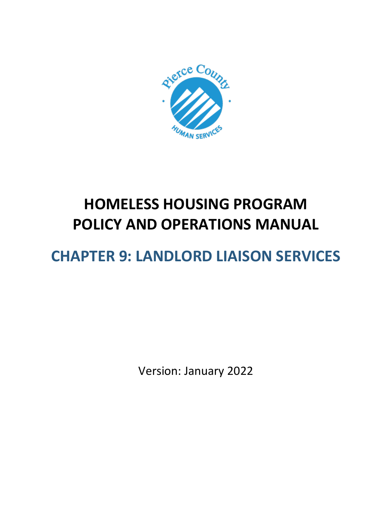

# **HOMELESS HOUSING PROGRAM POLICY AND OPERATIONS MANUAL**

# **CHAPTER 9: LANDLORD LIAISON SERVICES**

Version: January 2022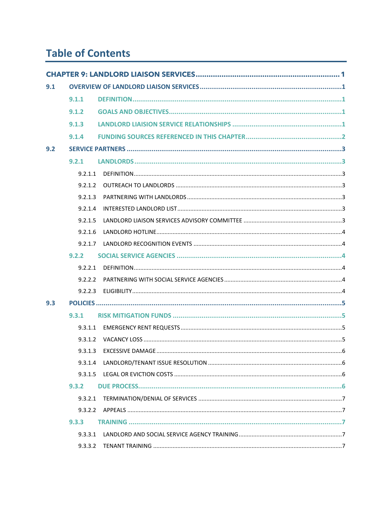# **Table of Contents**

| 9.1 |         |  |
|-----|---------|--|
|     | 9.1.1   |  |
|     | 9.1.2   |  |
|     | 9.1.3   |  |
|     | 9.1.4   |  |
| 9.2 |         |  |
|     | 9.2.1   |  |
|     | 9.2.1.1 |  |
|     | 9.2.1.2 |  |
|     | 9.2.1.3 |  |
|     | 9.2.1.4 |  |
|     | 9.2.1.5 |  |
|     | 9.2.1.6 |  |
|     | 9.2.1.7 |  |
|     | 9.2.2   |  |
|     | 9.2.2.1 |  |
|     | 9.2.2.2 |  |
|     | 9.2.2.3 |  |
| 9.3 |         |  |
|     | 9.3.1   |  |
|     | 9.3.1.1 |  |
|     | 9.3.1.2 |  |
|     | 9.3.1.3 |  |
|     | 9.3.1.4 |  |
|     | 9.3.1.5 |  |
|     | 9.3.2   |  |
|     | 9.3.2.1 |  |
|     | 9.3.2.2 |  |
|     | 9.3.3   |  |
|     | 9.3.3.1 |  |
|     | 9.3.3.2 |  |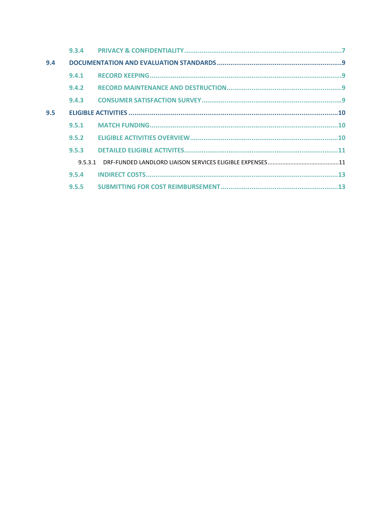| 9.4 |         |  |
|-----|---------|--|
|     | 9.4.1   |  |
|     | 9.4.2   |  |
|     | 9.4.3   |  |
| 9.5 |         |  |
|     | 9.5.1   |  |
|     | 9.5.2   |  |
|     | 9.5.3   |  |
|     | 9.5.3.1 |  |
|     | 9.5.4   |  |
|     | 9.5.5   |  |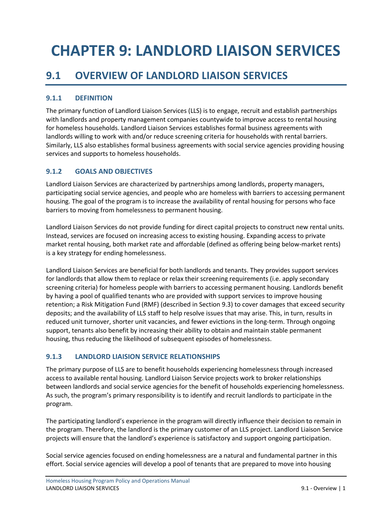# <span id="page-3-0"></span>**CHAPTER 9: LANDLORD LIAISON SERVICES**

# <span id="page-3-1"></span>**9.1 OVERVIEW OF LANDLORD LIAISON SERVICES**

#### <span id="page-3-2"></span>**9.1.1 DEFINITION**

The primary function of Landlord Liaison Services (LLS) is to engage, recruit and establish partnerships with landlords and property management companies countywide to improve access to rental housing for homeless households. Landlord Liaison Services establishes formal business agreements with landlords willing to work with and/or reduce screening criteria for households with rental barriers. Similarly, LLS also establishes formal business agreements with social service agencies providing housing services and supports to homeless households.

#### <span id="page-3-3"></span>**9.1.2 GOALS AND OBJECTIVES**

Landlord Liaison Services are characterized by partnerships among landlords, property managers, participating social service agencies, and people who are homeless with barriers to accessing permanent housing. The goal of the program is to increase the availability of rental housing for persons who face barriers to moving from homelessness to permanent housing.

Landlord Liaison Services do not provide funding for direct capital projects to construct new rental units. Instead, services are focused on increasing access to existing housing. Expanding access to private market rental housing, both market rate and affordable (defined as offering being below-market rents) is a key strategy for ending homelessness.

Landlord Liaison Services are beneficial for both landlords and tenants. They provides support services for landlords that allow them to replace or relax their screening requirements (i.e. apply secondary screening criteria) for homeless people with barriers to accessing permanent housing. Landlords benefit by having a pool of qualified tenants who are provided with support services to improve housing retention; a Risk Mitigation Fund (RMF) (described in Section 9.3) to cover damages that exceed security deposits; and the availability of LLS staff to help resolve issues that may arise. This, in turn, results in reduced unit turnover, shorter unit vacancies, and fewer evictions in the long-term. Through ongoing support, tenants also benefit by increasing their ability to obtain and maintain stable permanent housing, thus reducing the likelihood of subsequent episodes of homelessness.

#### <span id="page-3-4"></span>**9.1.3 LANDLORD LIAISION SERVICE RELATIONSHIPS**

The primary purpose of LLS are to benefit households experiencing homelessness through increased access to available rental housing. Landlord Liaison Service projects work to broker relationships between landlords and social service agencies for the benefit of households experiencing homelessness. As such, the program's primary responsibility is to identify and recruit landlords to participate in the program.

The participating landlord's experience in the program will directly influence their decision to remain in the program. Therefore, the landlord is the primary customer of an LLS project. Landlord Liaison Service projects will ensure that the landlord's experience is satisfactory and support ongoing participation.

Social service agencies focused on ending homelessness are a natural and fundamental partner in this effort. Social service agencies will develop a pool of tenants that are prepared to move into housing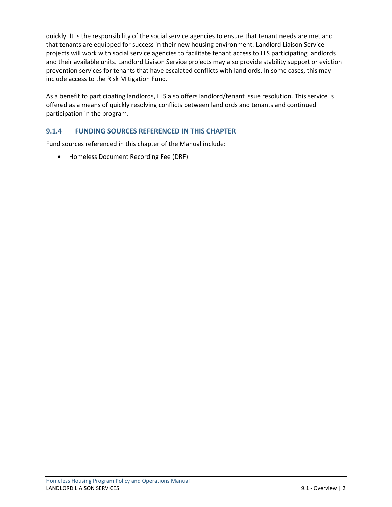quickly. It is the responsibility of the social service agencies to ensure that tenant needs are met and that tenants are equipped for success in their new housing environment. Landlord Liaison Service projects will work with social service agencies to facilitate tenant access to LLS participating landlords and their available units. Landlord Liaison Service projects may also provide stability support or eviction prevention services for tenants that have escalated conflicts with landlords. In some cases, this may include access to the Risk Mitigation Fund.

As a benefit to participating landlords, LLS also offers landlord/tenant issue resolution. This service is offered as a means of quickly resolving conflicts between landlords and tenants and continued participation in the program.

#### <span id="page-4-0"></span>**9.1.4 FUNDING SOURCES REFERENCED IN THIS CHAPTER**

Fund sources referenced in this chapter of the Manual include:

• Homeless Document Recording Fee (DRF)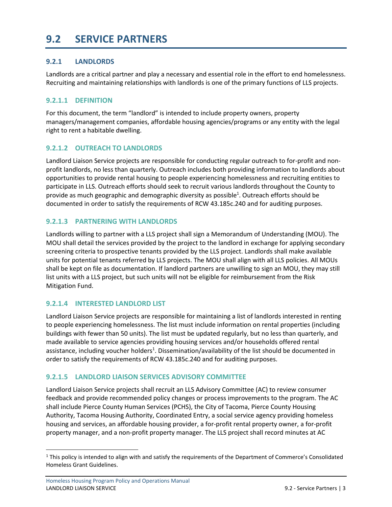## <span id="page-5-0"></span>**9.2 SERVICE PARTNERS**

#### <span id="page-5-1"></span>**9.2.1 LANDLORDS**

Landlords are a critical partner and play a necessary and essential role in the effort to end homelessness. Recruiting and maintaining relationships with landlords is one of the primary functions of LLS projects.

#### <span id="page-5-2"></span>**9.2.1.1 DEFINITION**

For this document, the term "landlord" is intended to include property owners, property managers/management companies, affordable housing agencies/programs or any entity with the legal right to rent a habitable dwelling.

#### <span id="page-5-3"></span>**9.2.1.2 OUTREACH TO LANDLORDS**

Landlord Liaison Service projects are responsible for conducting regular outreach to for-profit and nonprofit landlords, no less than quarterly. Outreach includes both providing information to landlords about opportunities to provide rental housing to people experiencing homelessness and recruiting entities to participate in LLS. Outreach efforts should seek to recruit various landlords throughout the County to provide as much geographic and demographic diversity as possible<sup>1</sup>. Outreach efforts should be documented in order to satisfy the requirements of RCW 43.185c.240 and for auditing purposes.

#### <span id="page-5-7"></span><span id="page-5-4"></span>**9.2.1.3 PARTNERING WITH LANDLORDS**

Landlords willing to partner with a LLS project shall sign a Memorandum of Understanding (MOU). The MOU shall detail the services provided by the project to the landlord in exchange for applying secondary screening criteria to prospective tenants provided by the LLS project. Landlords shall make available units for potential tenants referred by LLS projects. The MOU shall align with all LLS policies. All MOUs shall be kept on file as documentation. If landlord partners are unwilling to sign an MOU, they may still list units with a LLS project, but such units will not be eligible for reimbursement from the Risk Mitigation Fund.

#### <span id="page-5-5"></span>**9.2.1.4 INTERESTED LANDLORD LIST**

Landlord Liaison Service projects are responsible for maintaining a list of landlords interested in renting to people experiencing homelessness. The list must include information on rental properties (including buildings with fewer than 50 units). The list must be updated regularly, but no less than quarterly, and made available to service agencies providing housing services and/or households offered rental assistance, including voucher holders<sup>1</sup>[.](#page-5-7) Dissemination/availability of the list should be documented in order to satisfy the requirements of RCW 43.185c.240 and for auditing purposes.

#### <span id="page-5-6"></span>**9.2.1.5 LANDLORD LIAISON SERVICES ADVISORY COMMITTEE**

Landlord Liaison Service projects shall recruit an LLS Advisory Committee (AC) to review consumer feedback and provide recommended policy changes or process improvements to the program. The AC shall include Pierce County Human Services (PCHS), the City of Tacoma, Pierce County Housing Authority, Tacoma Housing Authority, Coordinated Entry, a social service agency providing homeless housing and services, an affordable housing provider, a for-profit rental property owner, a for-profit property manager, and a non-profit property manager. The LLS project shall record minutes at AC

 $1$  This policy is intended to align with and satisfy the requirements of the Department of Commerce's Consolidated Homeless Grant Guidelines.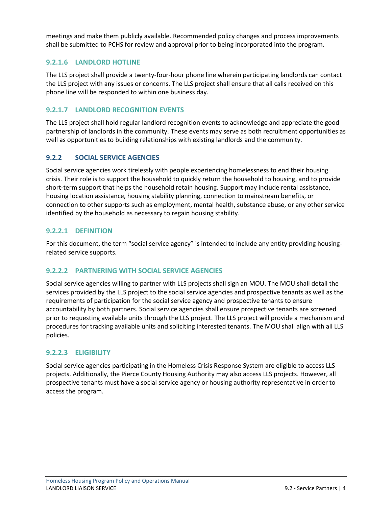meetings and make them publicly available. Recommended policy changes and process improvements shall be submitted to PCHS for review and approval prior to being incorporated into the program.

#### <span id="page-6-0"></span>**9.2.1.6 LANDLORD HOTLINE**

The LLS project shall provide a twenty-four-hour phone line wherein participating landlords can contact the LLS project with any issues or concerns. The LLS project shall ensure that all calls received on this phone line will be responded to within one business day.

#### <span id="page-6-1"></span>**9.2.1.7 LANDLORD RECOGNITION EVENTS**

The LLS project shall hold regular landlord recognition events to acknowledge and appreciate the good partnership of landlords in the community. These events may serve as both recruitment opportunities as well as opportunities to building relationships with existing landlords and the community.

#### <span id="page-6-2"></span>**9.2.2 SOCIAL SERVICE AGENCIES**

Social service agencies work tirelessly with people experiencing homelessness to end their housing crisis. Their role is to support the household to quickly return the household to housing, and to provide short-term support that helps the household retain housing. Support may include rental assistance, housing location assistance, housing stability planning, connection to mainstream benefits, or connection to other supports such as employment, mental health, substance abuse, or any other service identified by the household as necessary to regain housing stability.

#### <span id="page-6-3"></span>**9.2.2.1 DEFINITION**

For this document, the term "social service agency" is intended to include any entity providing housingrelated service supports.

#### <span id="page-6-4"></span>**9.2.2.2 PARTNERING WITH SOCIAL SERVICE AGENCIES**

Social service agencies willing to partner with LLS projects shall sign an MOU. The MOU shall detail the services provided by the LLS project to the social service agencies and prospective tenants as well as the requirements of participation for the social service agency and prospective tenants to ensure accountability by both partners. Social service agencies shall ensure prospective tenants are screened prior to requesting available units through the LLS project. The LLS project will provide a mechanism and procedures for tracking available units and soliciting interested tenants. The MOU shall align with all LLS policies.

#### <span id="page-6-5"></span>**9.2.2.3 ELIGIBILITY**

Social service agencies participating in the Homeless Crisis Response System are eligible to access LLS projects. Additionally, the Pierce County Housing Authority may also access LLS projects. However, all prospective tenants must have a social service agency or housing authority representative in order to access the program.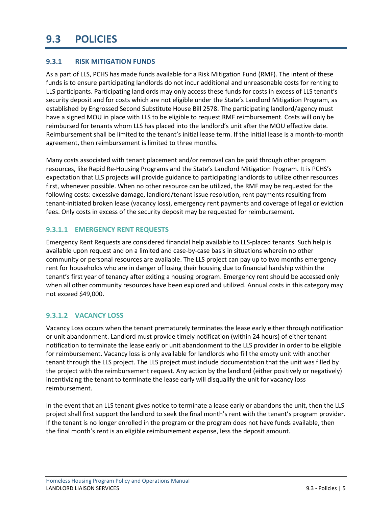## <span id="page-7-0"></span>**9.3 POLICIES**

#### <span id="page-7-1"></span>**9.3.1 RISK MITIGATION FUNDS**

As a part of LLS, PCHS has made funds available for a Risk Mitigation Fund (RMF). The intent of these funds is to ensure participating landlords do not incur additional and unreasonable costs for renting to LLS participants. Participating landlords may only access these funds for costs in excess of LLS tenant's security deposit and for costs which are not eligible under the State's Landlord Mitigation Program, as established by Engrossed Second Substitute House Bill 2578. The participating landlord/agency must have a signed MOU in place with LLS to be eligible to request RMF reimbursement. Costs will only be reimbursed for tenants whom LLS has placed into the landlord's unit after the MOU effective date. Reimbursement shall be limited to the tenant's initial lease term. If the initial lease is a month-to-month agreement, then reimbursement is limited to three months.

Many costs associated with tenant placement and/or removal can be paid through other program resources, like Rapid Re-Housing Programs and the State's Landlord Mitigation Program. It is PCHS's expectation that LLS projects will provide guidance to participating landlords to utilize other resources first, whenever possible. When no other resource can be utilized, the RMF may be requested for the following costs: excessive damage, landlord/tenant issue resolution, rent payments resulting from tenant-initiated broken lease (vacancy loss), emergency rent payments and coverage of legal or eviction fees. Only costs in excess of the security deposit may be requested for reimbursement.

#### <span id="page-7-2"></span>**9.3.1.1 EMERGENCY RENT REQUESTS**

Emergency Rent Requests are considered financial help available to LLS-placed tenants. Such help is available upon request and on a limited and case-by-case basis in situations wherein no other community or personal resources are available. The LLS project can pay up to two months emergency rent for households who are in danger of losing their housing due to financial hardship within the tenant's first year of tenancy after exiting a housing program. Emergency rent should be accessed only when all other community resources have been explored and utilized. Annual costs in this category may not exceed \$49,000.

#### <span id="page-7-3"></span>**9.3.1.2 VACANCY LOSS**

Vacancy Loss occurs when the tenant prematurely terminates the lease early either through notification or unit abandonment. Landlord must provide timely notification (within 24 hours) of either tenant notification to terminate the lease early or unit abandonment to the LLS provider in order to be eligible for reimbursement. Vacancy loss is only available for landlords who fill the empty unit with another tenant through the LLS project. The LLS project must include documentation that the unit was filled by the project with the reimbursement request. Any action by the landlord (either positively or negatively) incentivizing the tenant to terminate the lease early will disqualify the unit for vacancy loss reimbursement.

In the event that an LLS tenant gives notice to terminate a lease early or abandons the unit, then the LLS project shall first support the landlord to seek the final month's rent with the tenant's program provider. If the tenant is no longer enrolled in the program or the program does not have funds available, then the final month's rent is an eligible reimbursement expense, less the deposit amount.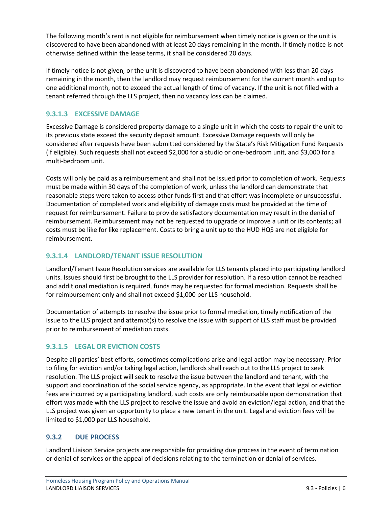The following month's rent is not eligible for reimbursement when timely notice is given or the unit is discovered to have been abandoned with at least 20 days remaining in the month. If timely notice is not otherwise defined within the lease terms, it shall be considered 20 days.

If timely notice is not given, or the unit is discovered to have been abandoned with less than 20 days remaining in the month, then the landlord may request reimbursement for the current month and up to one additional month, not to exceed the actual length of time of vacancy. If the unit is not filled with a tenant referred through the LLS project, then no vacancy loss can be claimed.

#### <span id="page-8-0"></span>**9.3.1.3 EXCESSIVE DAMAGE**

Excessive Damage is considered property damage to a single unit in which the costs to repair the unit to its previous state exceed the security deposit amount. Excessive Damage requests will only be considered after requests have been submitted considered by the State's Risk Mitigation Fund Requests (if eligible). Such requests shall not exceed \$2,000 for a studio or one-bedroom unit, and \$3,000 for a multi-bedroom unit.

Costs will only be paid as a reimbursement and shall not be issued prior to completion of work. Requests must be made within 30 days of the completion of work, unless the landlord can demonstrate that reasonable steps were taken to access other funds first and that effort was incomplete or unsuccessful. Documentation of completed work and eligibility of damage costs must be provided at the time of request for reimbursement. Failure to provide satisfactory documentation may result in the denial of reimbursement. Reimbursement may not be requested to upgrade or improve a unit or its contents; all costs must be like for like replacement. Costs to bring a unit up to the HUD HQS are not eligible for reimbursement.

#### <span id="page-8-1"></span>**9.3.1.4 LANDLORD/TENANT ISSUE RESOLUTION**

Landlord/Tenant Issue Resolution services are available for LLS tenants placed into participating landlord units. Issues should first be brought to the LLS provider for resolution. If a resolution cannot be reached and additional mediation is required, funds may be requested for formal mediation. Requests shall be for reimbursement only and shall not exceed \$1,000 per LLS household.

Documentation of attempts to resolve the issue prior to formal mediation, timely notification of the issue to the LLS project and attempt(s) to resolve the issue with support of LLS staff must be provided prior to reimbursement of mediation costs.

#### <span id="page-8-2"></span>**9.3.1.5 LEGAL OR EVICTION COSTS**

Despite all parties' best efforts, sometimes complications arise and legal action may be necessary. Prior to filing for eviction and/or taking legal action, landlords shall reach out to the LLS project to seek resolution. The LLS project will seek to resolve the issue between the landlord and tenant, with the support and coordination of the social service agency, as appropriate. In the event that legal or eviction fees are incurred by a participating landlord, such costs are only reimbursable upon demonstration that effort was made with the LLS project to resolve the issue and avoid an eviction/legal action, and that the LLS project was given an opportunity to place a new tenant in the unit. Legal and eviction fees will be limited to \$1,000 per LLS household.

#### <span id="page-8-3"></span>**9.3.2 DUE PROCESS**

Landlord Liaison Service projects are responsible for providing due process in the event of termination or denial of services or the appeal of decisions relating to the termination or denial of services.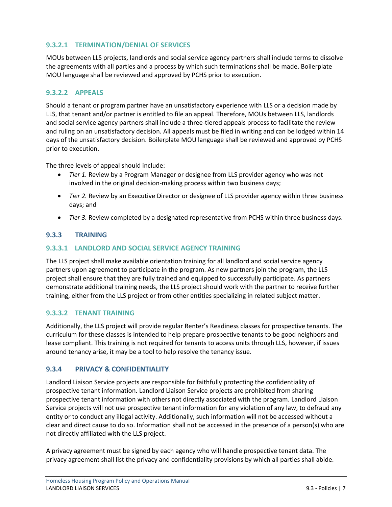#### <span id="page-9-0"></span>**9.3.2.1 TERMINATION/DENIAL OF SERVICES**

MOUs between LLS projects, landlords and social service agency partners shall include terms to dissolve the agreements with all parties and a process by which such terminations shall be made. Boilerplate MOU language shall be reviewed and approved by PCHS prior to execution.

#### <span id="page-9-1"></span>**9.3.2.2 APPEALS**

Should a tenant or program partner have an unsatisfactory experience with LLS or a decision made by LLS, that tenant and/or partner is entitled to file an appeal. Therefore, MOUs between LLS, landlords and social service agency partners shall include a three-tiered appeals process to facilitate the review and ruling on an unsatisfactory decision. All appeals must be filed in writing and can be lodged within 14 days of the unsatisfactory decision. Boilerplate MOU language shall be reviewed and approved by PCHS prior to execution.

The three levels of appeal should include:

- *Tier 1.* Review by a Program Manager or designee from LLS provider agency who was not involved in the original decision-making process within two business days;
- *Tier 2.* Review by an Executive Director or designee of LLS provider agency within three business days; and
- *Tier 3.* Review completed by a designated representative from PCHS within three business days.

#### <span id="page-9-2"></span>**9.3.3 TRAINING**

#### <span id="page-9-3"></span>**9.3.3.1 LANDLORD AND SOCIAL SERVICE AGENCY TRAINING**

The LLS project shall make available orientation training for all landlord and social service agency partners upon agreement to participate in the program. As new partners join the program, the LLS project shall ensure that they are fully trained and equipped to successfully participate. As partners demonstrate additional training needs, the LLS project should work with the partner to receive further training, either from the LLS project or from other entities specializing in related subject matter.

#### <span id="page-9-4"></span>**9.3.3.2 TENANT TRAINING**

Additionally, the LLS project will provide regular Renter's Readiness classes for prospective tenants. The curriculum for these classes is intended to help prepare prospective tenants to be good neighbors and lease compliant. This training is not required for tenants to access units through LLS, however, if issues around tenancy arise, it may be a tool to help resolve the tenancy issue.

#### <span id="page-9-5"></span>**9.3.4 PRIVACY & CONFIDENTIALITY**

Landlord Liaison Service projects are responsible for faithfully protecting the confidentiality of prospective tenant information. Landlord Liaison Service projects are prohibited from sharing prospective tenant information with others not directly associated with the program. Landlord Liaison Service projects will not use prospective tenant information for any violation of any law, to defraud any entity or to conduct any illegal activity. Additionally, such information will not be accessed without a clear and direct cause to do so. Information shall not be accessed in the presence of a person(s) who are not directly affiliated with the LLS project.

A privacy agreement must be signed by each agency who will handle prospective tenant data. The privacy agreement shall list the privacy and confidentiality provisions by which all parties shall abide.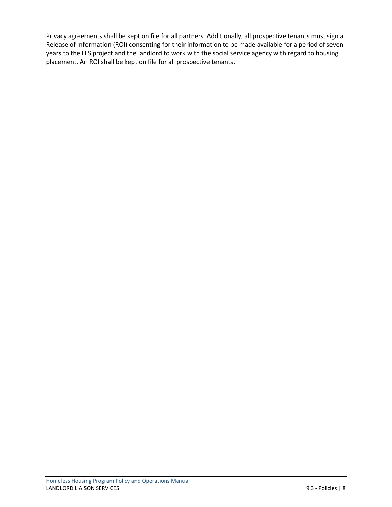Privacy agreements shall be kept on file for all partners. Additionally, all prospective tenants must sign a Release of Information (ROI) consenting for their information to be made available for a period of seven years to the LLS project and the landlord to work with the social service agency with regard to housing placement. An ROI shall be kept on file for all prospective tenants.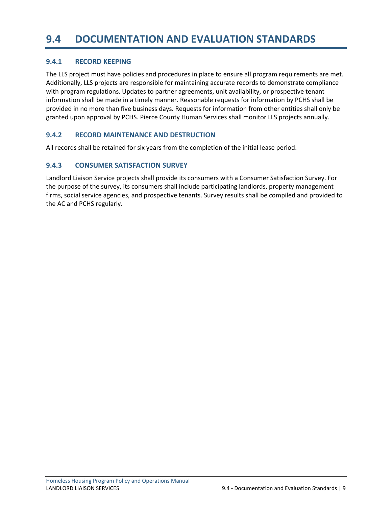### <span id="page-11-0"></span>**9.4 DOCUMENTATION AND EVALUATION STANDARDS**

#### <span id="page-11-1"></span>**9.4.1 RECORD KEEPING**

The LLS project must have policies and procedures in place to ensure all program requirements are met. Additionally, LLS projects are responsible for maintaining accurate records to demonstrate compliance with program regulations. Updates to partner agreements, unit availability, or prospective tenant information shall be made in a timely manner. Reasonable requests for information by PCHS shall be provided in no more than five business days. Requests for information from other entities shall only be granted upon approval by PCHS. Pierce County Human Services shall monitor LLS projects annually.

#### <span id="page-11-2"></span>**9.4.2 RECORD MAINTENANCE AND DESTRUCTION**

All records shall be retained for six years from the completion of the initial lease period.

#### <span id="page-11-3"></span>**9.4.3 CONSUMER SATISFACTION SURVEY**

Landlord Liaison Service projects shall provide its consumers with a Consumer Satisfaction Survey. For the purpose of the survey, its consumers shall include participating landlords, property management firms, social service agencies, and prospective tenants. Survey results shall be compiled and provided to the AC and PCHS regularly.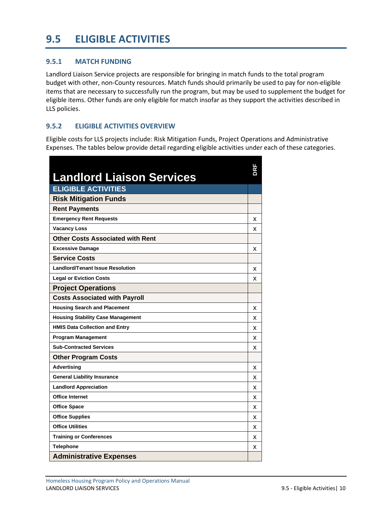# <span id="page-12-0"></span>**9.5 ELIGIBLE ACTIVITIES**

#### <span id="page-12-1"></span>**9.5.1 MATCH FUNDING**

Landlord Liaison Service projects are responsible for bringing in match funds to the total program budget with other, non-County resources. Match funds should primarily be used to pay for non-eligible items that are necessary to successfully run the program, but may be used to supplement the budget for eligible items. Other funds are only eligible for match insofar as they support the activities described in LLS policies.

#### <span id="page-12-2"></span>**9.5.2 ELIGIBLE ACTIVITIES OVERVIEW**

Eligible costs for LLS projects include: Risk Mitigation Funds, Project Operations and Administrative Expenses. The tables below provide detail regarding eligible activities under each of these categories.

| <b>Landlord Liaison Services</b>         |   |
|------------------------------------------|---|
| <b>ELIGIBLE ACTIVITIES</b>               |   |
| <b>Risk Mitigation Funds</b>             |   |
| <b>Rent Payments</b>                     |   |
| <b>Emergency Rent Requests</b>           | x |
| <b>Vacancy Loss</b>                      | x |
| <b>Other Costs Associated with Rent</b>  |   |
| <b>Excessive Damage</b>                  | x |
| <b>Service Costs</b>                     |   |
| <b>Landlord/Tenant Issue Resolution</b>  | x |
| <b>Legal or Eviction Costs</b>           | x |
| <b>Project Operations</b>                |   |
| <b>Costs Associated with Payroll</b>     |   |
| <b>Housing Search and Placement</b>      | х |
| <b>Housing Stability Case Management</b> | x |
| <b>HMIS Data Collection and Entry</b>    | x |
| <b>Program Management</b>                | x |
| <b>Sub-Contracted Services</b>           | x |
| <b>Other Program Costs</b>               |   |
| <b>Advertising</b>                       | x |
| <b>General Liability Insurance</b>       | x |
| <b>Landlord Appreciation</b>             | x |
| <b>Office Internet</b>                   | x |
| <b>Office Space</b>                      | x |
| <b>Office Supplies</b>                   | x |
| <b>Office Utilities</b>                  | x |
| <b>Training or Conferences</b>           | x |
| <b>Telephone</b>                         | x |
| <b>Administrative Expenses</b>           |   |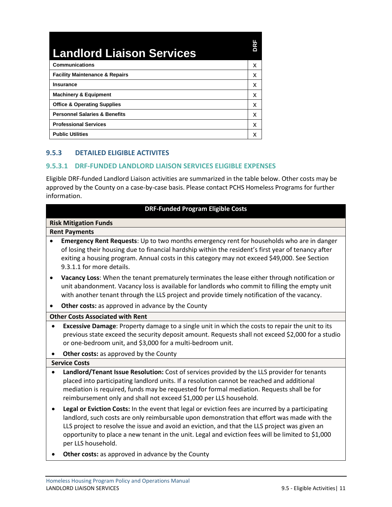| <b>Landlord Liaison Services</b>          |   |
|-------------------------------------------|---|
| <b>Communications</b>                     | x |
| <b>Facility Maintenance &amp; Repairs</b> | x |
| <b>Insurance</b>                          | x |
| <b>Machinery &amp; Equipment</b>          | x |
| <b>Office &amp; Operating Supplies</b>    | x |
| <b>Personnel Salaries &amp; Benefits</b>  | x |
| <b>Professional Services</b>              | x |
| <b>Public Utilities</b>                   |   |

#### <span id="page-13-0"></span>**9.5.3 DETAILED ELIGIBLE ACTIVITES**

#### <span id="page-13-1"></span>**9.5.3.1 DRF-FUNDED LANDLORD LIAISON SERVICES ELIGIBLE EXPENSES**

Eligible DRF-funded Landlord Liaison activities are summarized in the table below. Other costs may be approved by the County on a case-by-case basis. Please contact PCHS Homeless Programs for further information.

| <b>DRF-Funded Program Eligible Costs</b> |                                                                                                                                                                                                                                                                                                                                                                                                                              |  |
|------------------------------------------|------------------------------------------------------------------------------------------------------------------------------------------------------------------------------------------------------------------------------------------------------------------------------------------------------------------------------------------------------------------------------------------------------------------------------|--|
| <b>Risk Mitigation Funds</b>             |                                                                                                                                                                                                                                                                                                                                                                                                                              |  |
|                                          | <b>Rent Payments</b>                                                                                                                                                                                                                                                                                                                                                                                                         |  |
|                                          | Emergency Rent Requests: Up to two months emergency rent for households who are in danger<br>of losing their housing due to financial hardship within the resident's first year of tenancy after<br>exiting a housing program. Annual costs in this category may not exceed \$49,000. See Section<br>9.3.1.1 for more details.                                                                                               |  |
| ٠                                        | Vacancy Loss: When the tenant prematurely terminates the lease either through notification or<br>unit abandonment. Vacancy loss is available for landlords who commit to filling the empty unit<br>with another tenant through the LLS project and provide timely notification of the vacancy.                                                                                                                               |  |
|                                          | Other costs: as approved in advance by the County                                                                                                                                                                                                                                                                                                                                                                            |  |
|                                          | <b>Other Costs Associated with Rent</b>                                                                                                                                                                                                                                                                                                                                                                                      |  |
| $\bullet$                                | Excessive Damage: Property damage to a single unit in which the costs to repair the unit to its<br>previous state exceed the security deposit amount. Requests shall not exceed \$2,000 for a studio<br>or one-bedroom unit, and \$3,000 for a multi-bedroom unit.                                                                                                                                                           |  |
|                                          | Other costs: as approved by the County                                                                                                                                                                                                                                                                                                                                                                                       |  |
|                                          | <b>Service Costs</b>                                                                                                                                                                                                                                                                                                                                                                                                         |  |
| $\bullet$                                | Landlord/Tenant Issue Resolution: Cost of services provided by the LLS provider for tenants<br>placed into participating landlord units. If a resolution cannot be reached and additional<br>mediation is required, funds may be requested for formal mediation. Requests shall be for<br>reimbursement only and shall not exceed \$1,000 per LLS household.                                                                 |  |
|                                          | Legal or Eviction Costs: In the event that legal or eviction fees are incurred by a participating<br>landlord, such costs are only reimbursable upon demonstration that effort was made with the<br>LLS project to resolve the issue and avoid an eviction, and that the LLS project was given an<br>opportunity to place a new tenant in the unit. Legal and eviction fees will be limited to \$1,000<br>per LLS household. |  |
|                                          | Other costs: as approved in advance by the County                                                                                                                                                                                                                                                                                                                                                                            |  |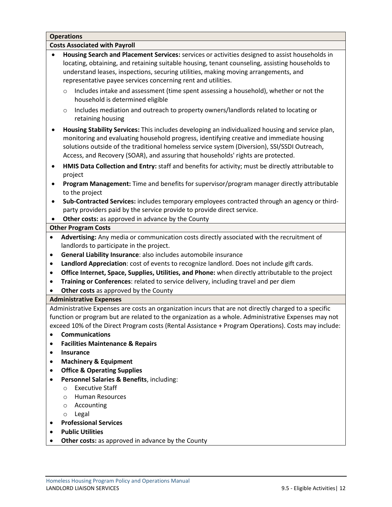|                                      | <b>Operations</b>                                                                                                                                                                                                                                                                                                                                                                |  |  |  |
|--------------------------------------|----------------------------------------------------------------------------------------------------------------------------------------------------------------------------------------------------------------------------------------------------------------------------------------------------------------------------------------------------------------------------------|--|--|--|
| <b>Costs Associated with Payroll</b> |                                                                                                                                                                                                                                                                                                                                                                                  |  |  |  |
| $\bullet$                            | Housing Search and Placement Services: services or activities designed to assist households in<br>locating, obtaining, and retaining suitable housing, tenant counseling, assisting households to<br>understand leases, inspections, securing utilities, making moving arrangements, and<br>representative payee services concerning rent and utilities.                         |  |  |  |
|                                      | Includes intake and assessment (time spent assessing a household), whether or not the<br>$\circ$<br>household is determined eligible                                                                                                                                                                                                                                             |  |  |  |
|                                      | Includes mediation and outreach to property owners/landlords related to locating or<br>$\circ$<br>retaining housing                                                                                                                                                                                                                                                              |  |  |  |
|                                      | Housing Stability Services: This includes developing an individualized housing and service plan,<br>monitoring and evaluating household progress, identifying creative and immediate housing<br>solutions outside of the traditional homeless service system (Diversion), SSI/SSDI Outreach,<br>Access, and Recovery (SOAR), and assuring that households' rights are protected. |  |  |  |
| $\bullet$                            | HMIS Data Collection and Entry: staff and benefits for activity; must be directly attributable to<br>project                                                                                                                                                                                                                                                                     |  |  |  |
|                                      | Program Management: Time and benefits for supervisor/program manager directly attributable<br>to the project                                                                                                                                                                                                                                                                     |  |  |  |
| $\bullet$                            | Sub-Contracted Services: includes temporary employees contracted through an agency or third-<br>party providers paid by the service provide to provide direct service.                                                                                                                                                                                                           |  |  |  |
|                                      | Other costs: as approved in advance by the County                                                                                                                                                                                                                                                                                                                                |  |  |  |
|                                      | <b>Other Program Costs</b>                                                                                                                                                                                                                                                                                                                                                       |  |  |  |
| $\bullet$                            | Advertising: Any media or communication costs directly associated with the recruitment of                                                                                                                                                                                                                                                                                        |  |  |  |
|                                      | landlords to participate in the project.                                                                                                                                                                                                                                                                                                                                         |  |  |  |
| $\bullet$                            | General Liability Insurance: also includes automobile insurance                                                                                                                                                                                                                                                                                                                  |  |  |  |
| $\bullet$                            | Landlord Appreciation: cost of events to recognize landlord. Does not include gift cards.                                                                                                                                                                                                                                                                                        |  |  |  |
| $\bullet$                            | Office Internet, Space, Supplies, Utilities, and Phone: when directly attributable to the project                                                                                                                                                                                                                                                                                |  |  |  |
| $\bullet$                            | Training or Conferences: related to service delivery, including travel and per diem                                                                                                                                                                                                                                                                                              |  |  |  |
| $\bullet$                            | Other costs as approved by the County                                                                                                                                                                                                                                                                                                                                            |  |  |  |
|                                      | <b>Administrative Expenses</b>                                                                                                                                                                                                                                                                                                                                                   |  |  |  |
|                                      | Administrative Expenses are costs an organization incurs that are not directly charged to a specific                                                                                                                                                                                                                                                                             |  |  |  |
|                                      | function or program but are related to the organization as a whole. Administrative Expenses may not                                                                                                                                                                                                                                                                              |  |  |  |
|                                      | exceed 10% of the Direct Program costs (Rental Assistance + Program Operations). Costs may include:                                                                                                                                                                                                                                                                              |  |  |  |
|                                      | <b>Communications</b>                                                                                                                                                                                                                                                                                                                                                            |  |  |  |
| ٠                                    | <b>Facilities Maintenance &amp; Repairs</b>                                                                                                                                                                                                                                                                                                                                      |  |  |  |
| ٠                                    | <b>Insurance</b>                                                                                                                                                                                                                                                                                                                                                                 |  |  |  |
| $\bullet$                            | <b>Machinery &amp; Equipment</b>                                                                                                                                                                                                                                                                                                                                                 |  |  |  |
| $\bullet$                            | <b>Office &amp; Operating Supplies</b>                                                                                                                                                                                                                                                                                                                                           |  |  |  |
|                                      | Personnel Salaries & Benefits, including:                                                                                                                                                                                                                                                                                                                                        |  |  |  |
|                                      | <b>Executive Staff</b><br>$\Omega$                                                                                                                                                                                                                                                                                                                                               |  |  |  |
|                                      | <b>Human Resources</b><br>$\circ$                                                                                                                                                                                                                                                                                                                                                |  |  |  |
|                                      | Accounting<br>$\circ$                                                                                                                                                                                                                                                                                                                                                            |  |  |  |

- o Legal
- **Professional Services**
- **Public Utilities**
- **Other costs:** as approved in advance by the County